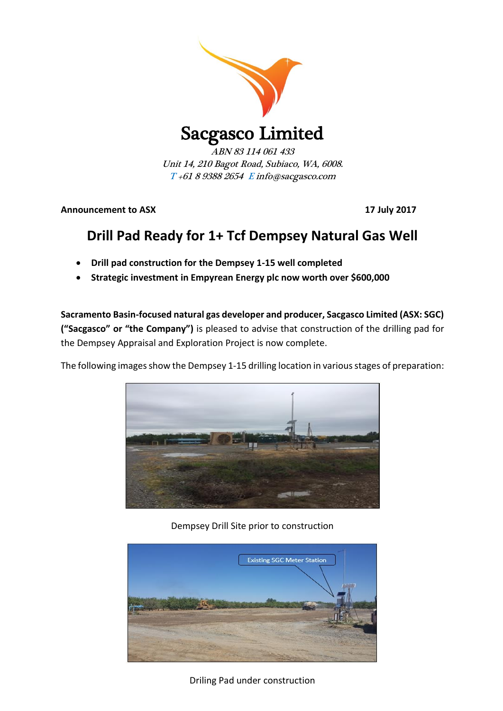

Sacgasco Limited

ABN 83 114 061 433 Unit 14, 210 Bagot Road, Subiaco, WA, 6008. T +61 8 9388 2654 E info@sacgasco.com

**Announcement to ASX 17 July 2017**

## **Drill Pad Ready for 1+ Tcf Dempsey Natural Gas Well**

- **Drill pad construction for the Dempsey 1-15 well completed**
- **Strategic investment in Empyrean Energy plc now worth over \$600,000**

**Sacramento Basin-focused natural gas developer and producer, Sacgasco Limited (ASX: SGC) ("Sacgasco" or "the Company")** is pleased to advise that construction of the drilling pad for the Dempsey Appraisal and Exploration Project is now complete.

The following images show the Dempsey 1-15 drilling location in various stages of preparation:



Dempsey Drill Site prior to construction



Driling Pad under construction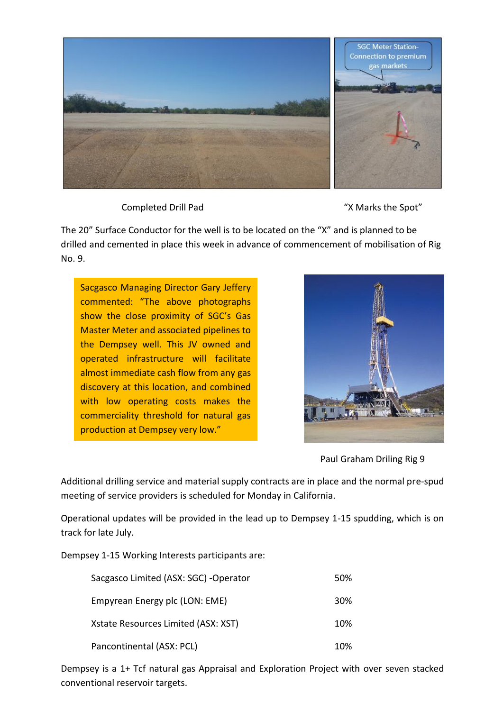

Completed Drill Pad "X Marks the Spot"

The 20" Surface Conductor for the well is to be located on the "X" and is planned to be drilled and cemented in place this week in advance of commencement of mobilisation of Rig No. 9.

Sacgasco Managing Director Gary Jeffery commented: "The above photographs show the close proximity of SGC's Gas Master Meter and associated pipelines to the Dempsey well. This JV owned and operated infrastructure will facilitate almost immediate cash flow from any gas discovery at this location, and combined with low operating costs makes the commerciality threshold for natural gas production at Dempsey very low."



Paul Graham Driling Rig 9

Additional drilling service and material supply contracts are in place and the normal pre-spud meeting of service providers is scheduled for Monday in California.

Operational updates will be provided in the lead up to Dempsey 1-15 spudding, which is on track for late July.

Dempsey 1-15 Working Interests participants are:

| Sacgasco Limited (ASX: SGC) - Operator | 50% |
|----------------------------------------|-----|
| Empyrean Energy plc (LON: EME)         | 30% |
| Xstate Resources Limited (ASX: XST)    | 10% |
| Pancontinental (ASX: PCL)              | 10% |

Dempsey is a 1+ Tcf natural gas Appraisal and Exploration Project with over seven stacked conventional reservoir targets.